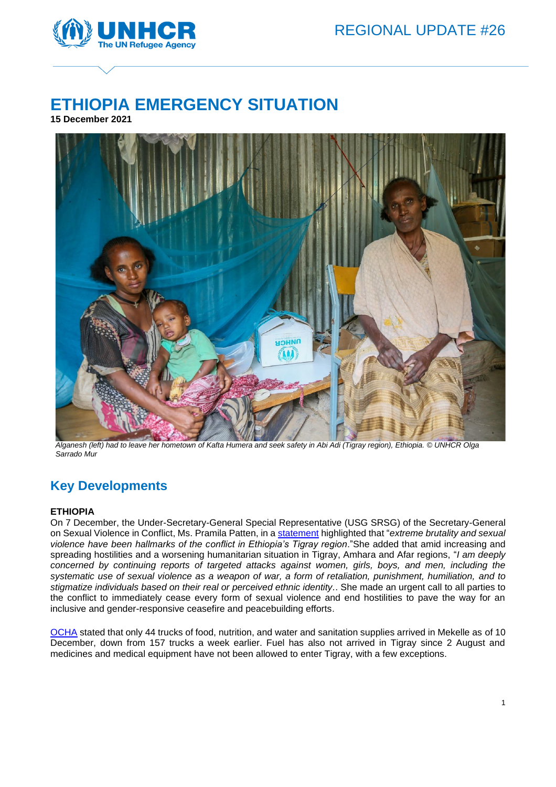

# **ETHIOPIA EMERGENCY SITUATION**

**15 December 2021**



*Alganesh (left) had to leave her hometown of Kafta Humera and seek safety in Abi Adi (Tigray region), Ethiopia. © UNHCR Olga Sarrado Mur*

# **Key Developments**

### **ETHIOPIA**

On 7 December, the Under-Secretary-General Special Representative (USG SRSG) of the Secretary-General on Sexual Violence in Conflict, Ms. Pramila Patten, in a [statement](https://www.un.org/sexualviolenceinconflict/press-release/united-nations-special-representative-of-the-secretary-general-on-sexual-violence-in-conflict-and-chair-of-un-action-network-ms-pramila-patten-urges-the-government-of-ethiopia-to-promptly-sign-onto/) highlighted that "*extreme brutality and sexual violence have been hallmarks of the conflict in Ethiopia's Tigray region*."She added that amid increasing and spreading hostilities and a worsening humanitarian situation in Tigray, Amhara and Afar regions, "*I am deeply concerned by continuing reports of targeted attacks against women, girls, boys, and men, including the systematic use of sexual violence as a weapon of war, a form of retaliation, punishment, humiliation, and to stigmatize individuals based on their real or perceived ethnic identity.*. She made an urgent call to all parties to the conflict to immediately cease every form of sexual violence and end hostilities to pave the way for an inclusive and gender-responsive ceasefire and peacebuilding efforts.

[OCHA](https://eur02.safelinks.protection.outlook.com/?url=https%3A%2F%2Fwww.unocha.org%2Fstory%2Fdaily-noon-briefing-highlights-afghanistan-ethiopia-un-cerf&data=04%7C01%7Ckalumiya%40unhcr.org%7C33e8166da9da47271d7f08d9bedb5814%7Ce5c37981666441348a0c6543d2af80be%7C0%7C0%7C637750671560112691%7CUnknown%7CTWFpbGZsb3d8eyJWIjoiMC4wLjAwMDAiLCJQIjoiV2luMzIiLCJBTiI6Ik1haWwiLCJXVCI6Mn0%3D%7C3000&sdata=8uduop%2Bwi%2Buch57D7wQNOx5tjT1yOnDhO9neFvFj4jU%3D&reserved=0) stated that only 44 trucks of food, nutrition, and water and sanitation supplies arrived in Mekelle as of 10 December, down from 157 trucks a week earlier. Fuel has also not arrived in Tigray since 2 August and medicines and medical equipment have not been allowed to enter Tigray, with a few exceptions.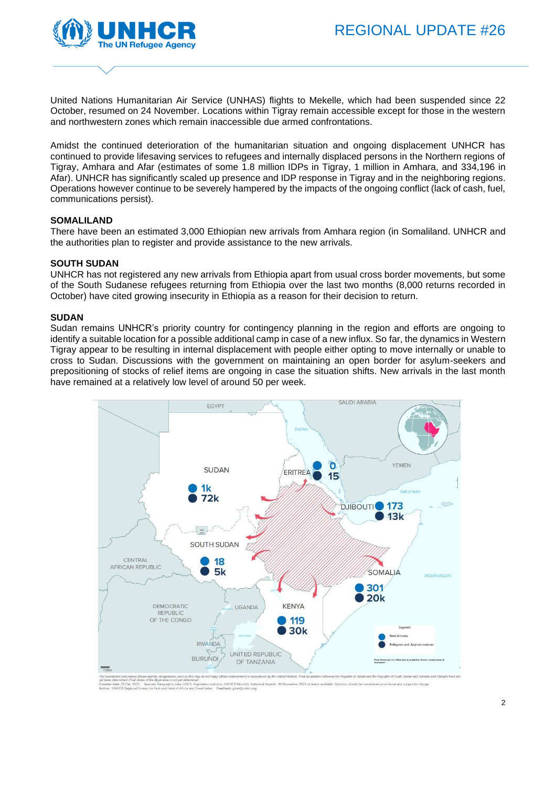

United Nations Humanitarian Air Service (UNHAS) flights to Mekelle, which had been suspended since 22 October, resumed on 24 November. Locations within Tigray remain accessible except for those in the western and northwestern zones which remain inaccessible due armed confrontations.

Amidst the continued deterioration of the humanitarian situation and ongoing displacement UNHCR has continued to provide lifesaving services to refugees and internally displaced persons in the Northern regions of Tigray, Amhara and Afar (estimates of some 1.8 million IDPs in Tigray, 1 million in Amhara, and 334,196 in Afar). UNHCR has significantly scaled up presence and IDP response in Tigray and in the neighboring regions. Operations however continue to be severely hampered by the impacts of the ongoing conflict (lack of cash, fuel, communications persist).

#### **SOMALILAND**

There have been an estimated 3,000 Ethiopian new arrivals from Amhara region (in Somaliland. UNHCR and the authorities plan to register and provide assistance to the new arrivals.

#### **SOUTH SUDAN**

UNHCR has not registered any new arrivals from Ethiopia apart from usual cross border movements, but some of the South Sudanese refugees returning from Ethiopia over the last two months (8,000 returns recorded in October) have cited growing insecurity in Ethiopia as a reason for their decision to return.

#### **SUDAN**

Sudan remains UNHCR's priority country for contingency planning in the region and efforts are ongoing to identify a suitable location for a possible additional camp in case of a new influx. So far, the dynamics in Western Tigray appear to be resulting in internal displacement with people either opting to move internally or unable to cross to Sudan. Discussions with the government on maintaining an open border for asylum-seekers and prepositioning of stocks of relief items are ongoing in case the situation shifts. New arrivals in the last month have remained at a relatively low level of around 50 per week.

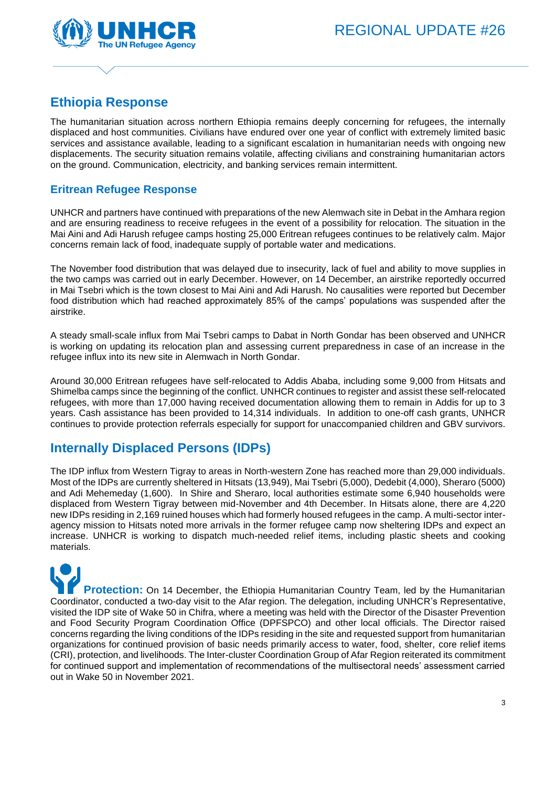

## **Ethiopia Response**

The humanitarian situation across northern Ethiopia remains deeply concerning for refugees, the internally displaced and host communities. Civilians have endured over one year of conflict with extremely limited basic services and assistance available, leading to a significant escalation in humanitarian needs with ongoing new displacements. The security situation remains volatile, affecting civilians and constraining humanitarian actors on the ground. Communication, electricity, and banking services remain intermittent.

### **Eritrean Refugee Response**

UNHCR and partners have continued with preparations of the new Alemwach site in Debat in the Amhara region and are ensuring readiness to receive refugees in the event of a possibility for relocation. The situation in the Mai Aini and Adi Harush refugee camps hosting 25,000 Eritrean refugees continues to be relatively calm. Major concerns remain lack of food, inadequate supply of portable water and medications.

The November food distribution that was delayed due to insecurity, lack of fuel and ability to move supplies in the two camps was carried out in early December. However, on 14 December, an airstrike reportedly occurred in Mai Tsebri which is the town closest to Mai Aini and Adi Harush. No causalities were reported but December food distribution which had reached approximately 85% of the camps' populations was suspended after the airstrike.

A steady small-scale influx from Mai Tsebri camps to Dabat in North Gondar has been observed and UNHCR is working on updating its relocation plan and assessing current preparedness in case of an increase in the refugee influx into its new site in Alemwach in North Gondar.

Around 30,000 Eritrean refugees have self-relocated to Addis Ababa, including some 9,000 from Hitsats and Shimelba camps since the beginning of the conflict. UNHCR continues to register and assist these self-relocated refugees, with more than 17,000 having received documentation allowing them to remain in Addis for up to 3 years. Cash assistance has been provided to 14,314 individuals. In addition to one-off cash grants, UNHCR continues to provide protection referrals especially for support for unaccompanied children and GBV survivors.

### **Internally Displaced Persons (IDPs)**

The IDP influx from Western Tigray to areas in North-western Zone has reached more than 29,000 individuals. Most of the IDPs are currently sheltered in Hitsats (13,949), Mai Tsebri (5,000), Dedebit (4,000), Sheraro (5000) and Adi Mehemeday (1,600). In Shire and Sheraro, local authorities estimate some 6,940 households were displaced from Western Tigray between mid-November and 4th December. In Hitsats alone, there are 4,220 new IDPs residing in 2,169 ruined houses which had formerly housed refugees in the camp. A multi-sector interagency mission to Hitsats noted more arrivals in the former refugee camp now sheltering IDPs and expect an increase. UNHCR is working to dispatch much-needed relief items, including plastic sheets and cooking materials.

**Protection:** On 14 December, the Ethiopia Humanitarian Country Team, led by the Humanitarian Coordinator, conducted a two-day visit to the Afar region. The delegation, including UNHCR's Representative, visited the IDP site of Wake 50 in Chifra, where a meeting was held with the Director of the Disaster Prevention and Food Security Program Coordination Office (DPFSPCO) and other local officials. The Director raised concerns regarding the living conditions of the IDPs residing in the site and requested support from humanitarian organizations for continued provision of basic needs primarily access to water, food, shelter, core relief items (CRI), protection, and livelihoods. The Inter-cluster Coordination Group of Afar Region reiterated its commitment for continued support and implementation of recommendations of the multisectoral needs' assessment carried out in Wake 50 in November 2021.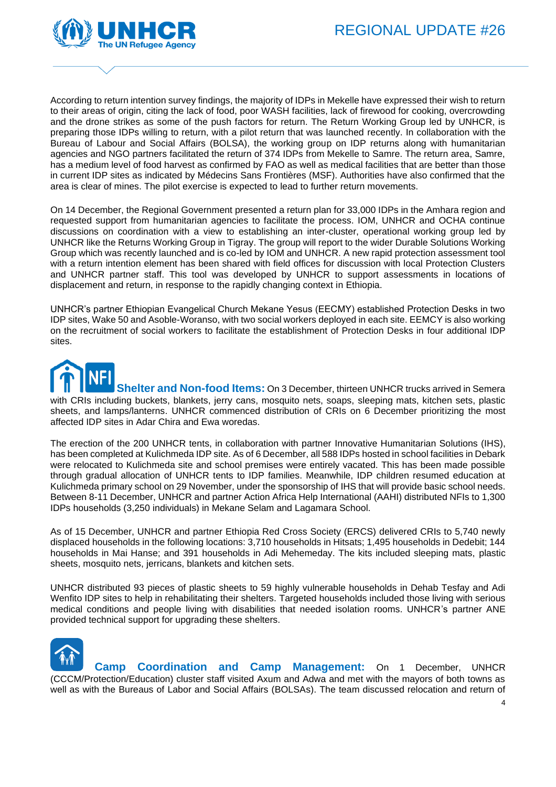

According to return intention survey findings, the majority of IDPs in Mekelle have expressed their wish to return to their areas of origin, citing the lack of food, poor WASH facilities, lack of firewood for cooking, overcrowding and the drone strikes as some of the push factors for return. The Return Working Group led by UNHCR, is preparing those IDPs willing to return, with a pilot return that was launched recently. In collaboration with the Bureau of Labour and Social Affairs (BOLSA), the working group on IDP returns along with humanitarian agencies and NGO partners facilitated the return of 374 IDPs from Mekelle to Samre. The return area, Samre, has a medium level of food harvest as confirmed by FAO as well as medical facilities that are better than those in current IDP sites as indicated by Médecins Sans Frontières (MSF). Authorities have also confirmed that the area is clear of mines. The pilot exercise is expected to lead to further return movements.

On 14 December, the Regional Government presented a return plan for 33,000 IDPs in the Amhara region and requested support from humanitarian agencies to facilitate the process. IOM, UNHCR and OCHA continue discussions on coordination with a view to establishing an inter-cluster, operational working group led by UNHCR like the Returns Working Group in Tigray. The group will report to the wider Durable Solutions Working Group which was recently launched and is co-led by IOM and UNHCR. A new rapid protection assessment tool with a return intention element has been shared with field offices for discussion with local Protection Clusters and UNHCR partner staff. This tool was developed by UNHCR to support assessments in locations of displacement and return, in response to the rapidly changing context in Ethiopia.

UNHCR's partner Ethiopian Evangelical Church Mekane Yesus (EECMY) established Protection Desks in two IDP sites, Wake 50 and Asoble-Woranso, with two social workers deployed in each site. EEMCY is also working on the recruitment of social workers to facilitate the establishment of Protection Desks in four additional IDP sites.



**Shelter and Non-food Items:** On 3 December, thirteen UNHCR trucks arrived in Semera with CRIs including buckets, blankets, jerry cans, mosquito nets, soaps, sleeping mats, kitchen sets, plastic sheets, and lamps/lanterns. UNHCR commenced distribution of CRIs on 6 December prioritizing the most affected IDP sites in Adar Chira and Ewa woredas.

The erection of the 200 UNHCR tents, in collaboration with partner Innovative Humanitarian Solutions (IHS), has been completed at Kulichmeda IDP site. As of 6 December, all 588 IDPs hosted in school facilities in Debark were relocated to Kulichmeda site and school premises were entirely vacated. This has been made possible through gradual allocation of UNHCR tents to IDP families. Meanwhile, IDP children resumed education at Kulichmeda primary school on 29 November, under the sponsorship of IHS that will provide basic school needs. Between 8-11 December, UNHCR and partner Action Africa Help International (AAHI) distributed NFIs to 1,300 IDPs households (3,250 individuals) in Mekane Selam and Lagamara School.

As of 15 December, UNHCR and partner Ethiopia Red Cross Society (ERCS) delivered CRIs to 5,740 newly displaced households in the following locations: 3,710 households in Hitsats; 1,495 households in Dedebit; 144 households in Mai Hanse; and 391 households in Adi Mehemeday. The kits included sleeping mats, plastic sheets, mosquito nets, jerricans, blankets and kitchen sets.

UNHCR distributed 93 pieces of plastic sheets to 59 highly vulnerable households in Dehab Tesfay and Adi Wenfito IDP sites to help in rehabilitating their shelters. Targeted households included those living with serious medical conditions and people living with disabilities that needed isolation rooms. UNHCR's partner ANE provided technical support for upgrading these shelters.



(CCCM/Protection/Education) cluster staff visited Axum and Adwa and met with the mayors of both towns as well as with the Bureaus of Labor and Social Affairs (BOLSAs). The team discussed relocation and return of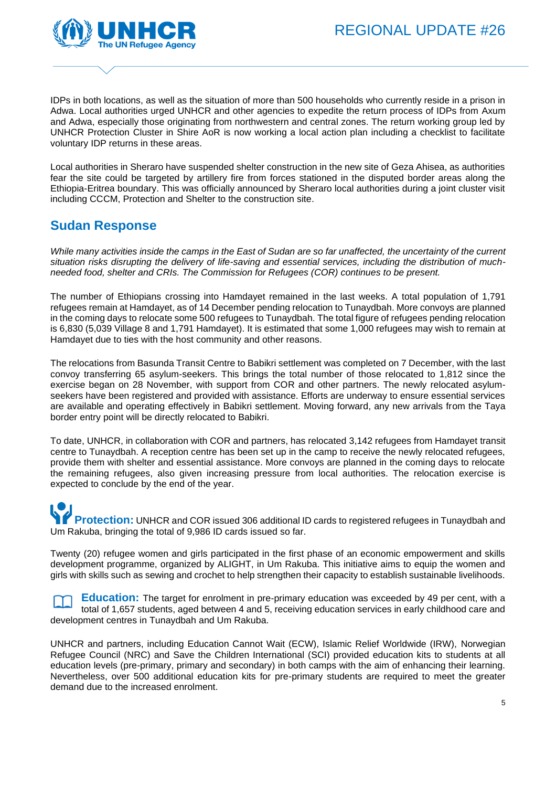

IDPs in both locations, as well as the situation of more than 500 households who currently reside in a prison in Adwa. Local authorities urged UNHCR and other agencies to expedite the return process of IDPs from Axum and Adwa, especially those originating from northwestern and central zones. The return working group led by UNHCR Protection Cluster in Shire AoR is now working a local action plan including a checklist to facilitate voluntary IDP returns in these areas.

Local authorities in Sheraro have suspended shelter construction in the new site of Geza Ahisea, as authorities fear the site could be targeted by artillery fire from forces stationed in the disputed border areas along the Ethiopia-Eritrea boundary. This was officially announced by Sheraro local authorities during a joint cluster visit including CCCM, Protection and Shelter to the construction site.

### **Sudan Response**

*While many activities inside the camps in the East of Sudan are so far unaffected, the uncertainty of the current situation risks disrupting the delivery of life-saving and essential services, including the distribution of muchneeded food, shelter and CRIs. The Commission for Refugees (COR) continues to be present.* 

The number of Ethiopians crossing into Hamdayet remained in the last weeks. A total population of 1,791 refugees remain at Hamdayet, as of 14 December pending relocation to Tunaydbah. More convoys are planned in the coming days to relocate some 500 refugees to Tunaydbah. The total figure of refugees pending relocation is 6,830 (5,039 Village 8 and 1,791 Hamdayet). It is estimated that some 1,000 refugees may wish to remain at Hamdayet due to ties with the host community and other reasons.

The relocations from Basunda Transit Centre to Babikri settlement was completed on 7 December, with the last convoy transferring 65 asylum-seekers. This brings the total number of those relocated to 1,812 since the exercise began on 28 November, with support from COR and other partners. The newly relocated asylumseekers have been registered and provided with assistance. Efforts are underway to ensure essential services are available and operating effectively in Babikri settlement. Moving forward, any new arrivals from the Taya border entry point will be directly relocated to Babikri.

To date, UNHCR, in collaboration with COR and partners, has relocated 3,142 refugees from Hamdayet transit centre to Tunaydbah. A reception centre has been set up in the camp to receive the newly relocated refugees, provide them with shelter and essential assistance. More convoys are planned in the coming days to relocate the remaining refugees, also given increasing pressure from local authorities. The relocation exercise is expected to conclude by the end of the year.

**Protection:** UNHCR and COR issued 306 additional ID cards to registered refugees in Tunaydbah and Um Rakuba, bringing the total of 9,986 ID cards issued so far.

Twenty (20) refugee women and girls participated in the first phase of an economic empowerment and skills development programme, organized by ALIGHT, in Um Rakuba. This initiative aims to equip the women and girls with skills such as sewing and crochet to help strengthen their capacity to establish sustainable livelihoods.

**Education:** The target for enrolment in pre-primary education was exceeded by 49 per cent, with a total of 1,657 students, aged between 4 and 5, receiving education services in early childhood care and development centres in Tunaydbah and Um Rakuba.

UNHCR and partners, including Education Cannot Wait (ECW), Islamic Relief Worldwide (IRW), Norwegian Refugee Council (NRC) and Save the Children International (SCI) provided education kits to students at all education levels (pre-primary, primary and secondary) in both camps with the aim of enhancing their learning. Nevertheless, over 500 additional education kits for pre-primary students are required to meet the greater demand due to the increased enrolment.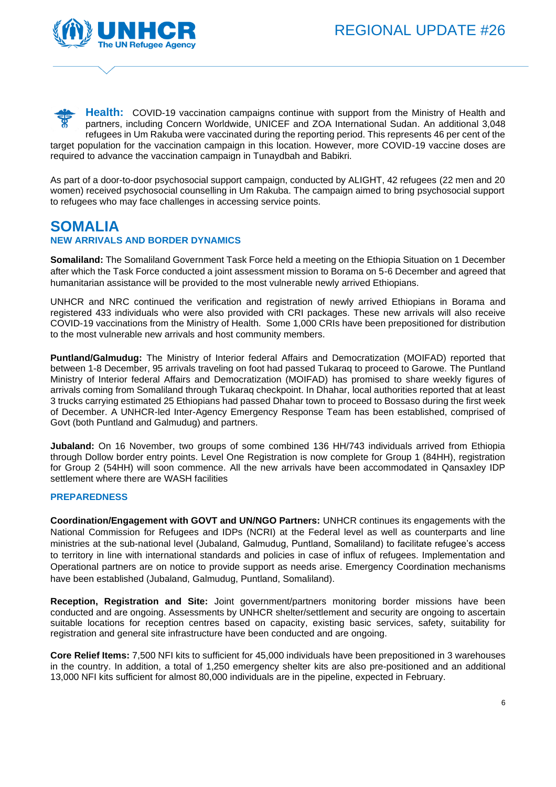

**Health:** COVID-19 vaccination campaigns continue with support from the Ministry of Health and partners, including Concern Worldwide, UNICEF and ZOA International Sudan. An additional 3,048 refugees in Um Rakuba were vaccinated during the reporting period. This represents 46 per cent of the target population for the vaccination campaign in this location. However, more COVID-19 vaccine doses are required to advance the vaccination campaign in Tunaydbah and Babikri.

As part of a door-to-door psychosocial support campaign, conducted by ALIGHT, 42 refugees (22 men and 20 women) received psychosocial counselling in Um Rakuba. The campaign aimed to bring psychosocial support to refugees who may face challenges in accessing service points.

### **SOMALIA NEW ARRIVALS AND BORDER DYNAMICS**

**Somaliland:** The Somaliland Government Task Force held a meeting on the Ethiopia Situation on 1 December after which the Task Force conducted a joint assessment mission to Borama on 5-6 December and agreed that humanitarian assistance will be provided to the most vulnerable newly arrived Ethiopians.

UNHCR and NRC continued the verification and registration of newly arrived Ethiopians in Borama and registered 433 individuals who were also provided with CRI packages. These new arrivals will also receive COVID-19 vaccinations from the Ministry of Health. Some 1,000 CRIs have been prepositioned for distribution to the most vulnerable new arrivals and host community members.

**Puntland/Galmudug:** The Ministry of Interior federal Affairs and Democratization (MOIFAD) reported that between 1-8 December, 95 arrivals traveling on foot had passed Tukaraq to proceed to Garowe. The Puntland Ministry of Interior federal Affairs and Democratization (MOIFAD) has promised to share weekly figures of arrivals coming from Somaliland through Tukaraq checkpoint. In Dhahar, local authorities reported that at least 3 trucks carrying estimated 25 Ethiopians had passed Dhahar town to proceed to Bossaso during the first week of December. A UNHCR-led Inter-Agency Emergency Response Team has been established, comprised of Govt (both Puntland and Galmudug) and partners.

**Jubaland:** On 16 November, two groups of some combined 136 HH/743 individuals arrived from Ethiopia through Dollow border entry points. Level One Registration is now complete for Group 1 (84HH), registration for Group 2 (54HH) will soon commence. All the new arrivals have been accommodated in Qansaxley IDP settlement where there are WASH facilities

### **PREPAREDNESS**

**Coordination/Engagement with GOVT and UN/NGO Partners:** UNHCR continues its engagements with the National Commission for Refugees and IDPs (NCRI) at the Federal level as well as counterparts and line ministries at the sub-national level (Jubaland, Galmudug, Puntland, Somaliland) to facilitate refugee's access to territory in line with international standards and policies in case of influx of refugees. Implementation and Operational partners are on notice to provide support as needs arise. Emergency Coordination mechanisms have been established (Jubaland, Galmudug, Puntland, Somaliland).

**Reception, Registration and Site:** Joint government/partners monitoring border missions have been conducted and are ongoing. Assessments by UNHCR shelter/settlement and security are ongoing to ascertain suitable locations for reception centres based on capacity, existing basic services, safety, suitability for registration and general site infrastructure have been conducted and are ongoing.

**Core Relief Items:** 7,500 NFI kits to sufficient for 45,000 individuals have been prepositioned in 3 warehouses in the country. In addition, a total of 1,250 emergency shelter kits are also pre-positioned and an additional 13,000 NFI kits sufficient for almost 80,000 individuals are in the pipeline, expected in February.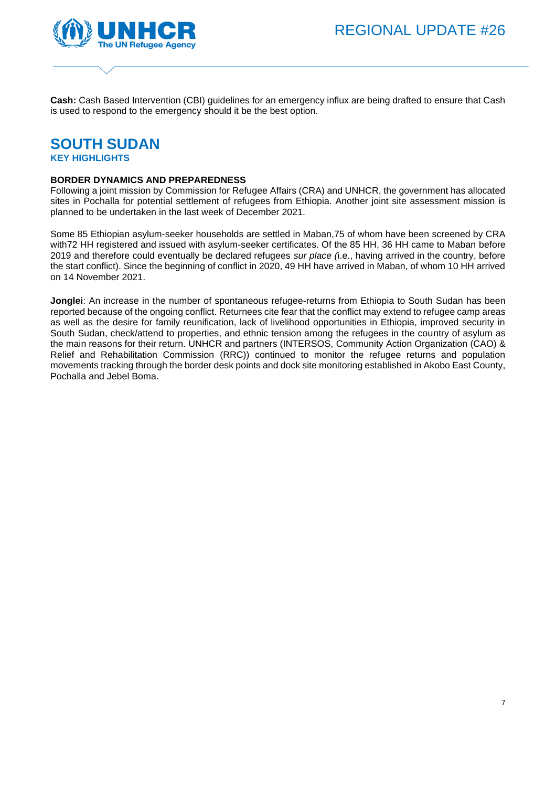

**Cash:** Cash Based Intervention (CBI) guidelines for an emergency influx are being drafted to ensure that Cash is used to respond to the emergency should it be the best option.

# **SOUTH SUDAN**

### **KEY HIGHLIGHTS**

### **BORDER DYNAMICS AND PREPAREDNESS**

Following a joint mission by Commission for Refugee Affairs (CRA) and UNHCR, the government has allocated sites in Pochalla for potential settlement of refugees from Ethiopia. Another joint site assessment mission is planned to be undertaken in the last week of December 2021.

Some 85 Ethiopian asylum-seeker households are settled in Maban,75 of whom have been screened by CRA with72 HH registered and issued with asylum-seeker certificates. Of the 85 HH, 36 HH came to Maban before 2019 and therefore could eventually be declared refugees *sur place (*i.e., having arrived in the country, before the start conflict). Since the beginning of conflict in 2020, 49 HH have arrived in Maban, of whom 10 HH arrived on 14 November 2021.

**Jonglei**: An increase in the number of spontaneous refugee-returns from Ethiopia to South Sudan has been reported because of the ongoing conflict. Returnees cite fear that the conflict may extend to refugee camp areas as well as the desire for family reunification, lack of livelihood opportunities in Ethiopia, improved security in South Sudan, check/attend to properties, and ethnic tension among the refugees in the country of asylum as the main reasons for their return. UNHCR and partners (INTERSOS, Community Action Organization (CAO) & Relief and Rehabilitation Commission (RRC)) continued to monitor the refugee returns and population movements tracking through the border desk points and dock site monitoring established in Akobo East County, Pochalla and Jebel Boma.